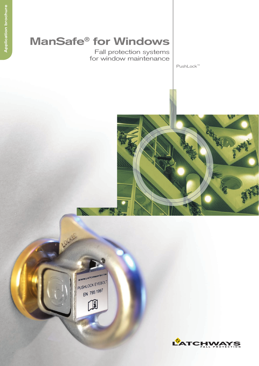# **ManSafe® for Windows**

Fall protection systems for window maintenance

PushLock™





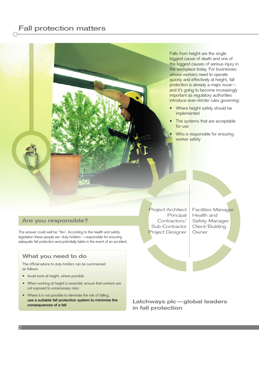## Fall protection matters



#### **Are you responsible?**

The answer could well be 'Yes'. According to the health and safety legislation these people are 'duty-holders'—responsible for ensuring adequate fall protection and potentially liable in the event of an accident.

### **What you need to do**

The official advice to duty-holders can be summarised as follows:

- Avoid work at height, where possible
- When working at height is essential, ensure that workers are not exposed to unnecessary risks
- Where it is not possible to eliminate the risk of falling, **use a suitable fall protection system to minimise the consequences of a fall**

Project Architect Principal Contractors/ Sub-Contractor Project Designer

Facilities Manager Health and Safety Manager Client/Building Owner

**Latchways plc—global leaders in fall protection**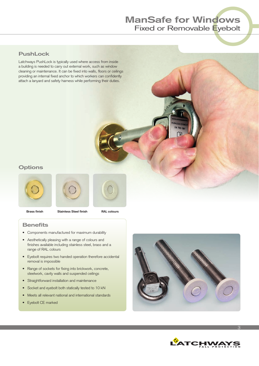## **ManSafe for Windows** Fixed or Removable Eyebolt

## **PushLock**

Latchways PushLock is typically used where access from inside a building is needed to carry out external work, such as window cleaning or maintenance. It can be fixed into walls, floors or ceilings providing an internal fixed anchor to which workers can confidently attach a lanyard and safety harness while performing their duties.

## **Options**







**Brass finish Stainless Steel finish RAL colours**

### **Benefits**

- Components manufactured for maximum durability
- Aesthetically pleasing with a range of colours and finishes available including stainless steel, brass and a range of RAL colours
- Eyebolt requires two handed operation therefore accidental removal is impossible
- Range of sockets for fixing into brickwork, concrete, steelwork, cavity walls and suspended ceilings
- Straightforward installation and maintenance
- Socket and eyebolt both statically tested to 10 kN
- Meets all relevant national and international standards
- Eyebolt CE marked





3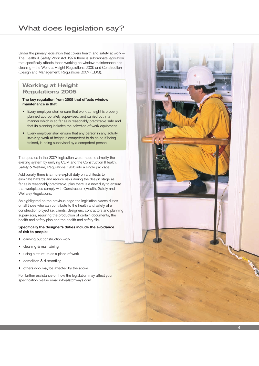## What does legislation say?

Under the primary legislation that covers health and safety at work— The Health & Safety Work Act 1974 there is subordinate legislation that specifically affects those working on window maintenance and cleaning—the Work at Height Regulations 2005 and Construction (Design and Management) Regulations 2007 (CDM).

## **Working at Height Regulations 2005**

#### **The key regulation from 2005 that effects window maintenance is that:**

- Every employer shall ensure that work at height is properly planned appropriately supervised; and carried out in a manner which is so far as is reasonably practicable safe and that its planning includes the selection of work equipment
- Every employer shall ensure that any person in any activity involving work at height is competent to do so or, if being trained, is being supervised by a competent person

The updates in the 2007 legislation were made to simplify the existing system by unifying CDM and the Construction (Health, Safety & Welfare) Regulations 1996 into a single package.

Additionally there is a more explicit duty on architects to eliminate hazards and reduce risks during the design stage as far as is reasonably practicable, plus there is a new duty to ensure that workplaces comply with Construction (Health, Safety and Welfare) Regulations.

As highlighted on the previous page the legislation places duties on all those who can contribute to the health and safety of a construction project i.e. clients, designers, contractors and planning supervisors, requiring the production of certain documents, the health and safety plan and the health and safety file.

#### **Specifically the designer's duties include the avoidance of risk to people:**

- carrying out construction work
- cleaning & maintaining
- using a structure as a place of work
- demolition & dismantling
- others who may be affected by the above

For further assistance on how the legislation may affect your specification please email info@latchways.com

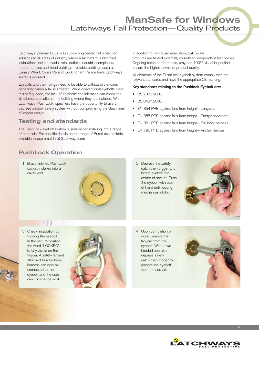## **ManSafe for Windows** Latchways Fall Protection—Quality Products

Latchways' primary focus is to supply engineered fall protection solutions to all areas of industry where a fall hazard is identified. Installations include stadia, retail outlets, industrial complexes, modern offices and listed buildings. Notable buildings such as Canary Wharf, Swiss Re and Buckingham Palace have Latchways systems installed.

Eyebolts and their fixings need to be able to withstand the loads generated when a fall is arrested. While conventional eyebolts meet this safety need, the lack of aesthetic consideration can impair the visual characteristics of the building where they are installed. With Latchways' PushLock, specifiers have the opportunity to use a discreet window safety system without compromising the clean lines of interior design.

### **Testing and standards**

The PushLock eyebolt system is suitable for installing into a range of materials. For specific details on the range of PushLock sockets available please email info@latchways.com

In addition to 'in-house' evaluation, Latchways products are tested externally by notified independent test bodies. Ongoing batch conformance, xray and 100% visual inspection ensure the highest levels of product quality.

All elements of the PushLock eyebolt system comply with the relevant standards and have the appropriate CE marking.

#### **Key standards relating to the Pushlock Eyebolt are:**

- BS 7883:2005
- BS 8437:2005
- EN 354 PPE against falls from height—Lanyards
- EN 355 PPE against falls from height—Energy absorbers
- EN 361 PPE against falls from height—Full body harness
- EN 795 PPE against falls from height—Anchor devices

## **PushLock Operation**

1 Brass finished PushLock socket installed into a cavity wall.



2 Depress the safety catch then trigger and locate eyebolt into centre of socket. Push the eyebolt with palm of hand until locking mechanism clicks.



3 Check installation by tugging the eyebolt. In the secure position, the word 'LOCKED' is fully visible on the trigger. A safety lanyard attached to a full body harness can now be connected to the eyebolt and the user can commence work.



4 Upon completion of work, remove the lanyard from the eyebolt. With a twohanded operation depress safety catch then trigger to remove the eyebolt from the socket.





5